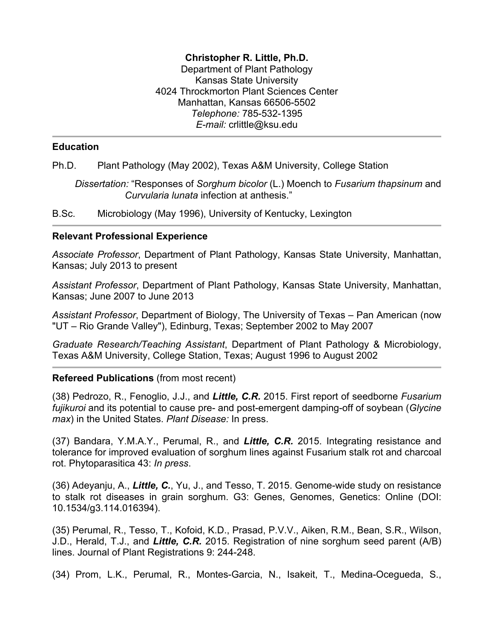## **Christopher R. Little, Ph.D.**

Department of Plant Pathology Kansas State University 4024 Throckmorton Plant Sciences Center Manhattan, Kansas 66506-5502 *Telephone:* 785-532-1395 *E-mail:* crlittle@ksu.edu

## **Education**

Ph.D. Plant Pathology (May 2002), Texas A&M University, College Station

*Dissertation:* "Responses of *Sorghum bicolor* (L.) Moench to *Fusarium thapsinum* and *Curvularia lunata* infection at anthesis."

B.Sc. Microbiology (May 1996), University of Kentucky, Lexington

### **Relevant Professional Experience**

*Associate Professor*, Department of Plant Pathology, Kansas State University, Manhattan, Kansas; July 2013 to present

*Assistant Professor*, Department of Plant Pathology, Kansas State University, Manhattan, Kansas; June 2007 to June 2013

*Assistant Professor*, Department of Biology, The University of Texas – Pan American (now "UT – Rio Grande Valley"), Edinburg, Texas; September 2002 to May 2007

*Graduate Research/Teaching Assistant*, Department of Plant Pathology & Microbiology, Texas A&M University, College Station, Texas; August 1996 to August 2002

## **Refereed Publications** (from most recent)

(38) Pedrozo, R., Fenoglio, J.J., and *Little, C.R.* 2015. First report of seedborne *Fusarium fujikuroi* and its potential to cause pre- and post-emergent damping-off of soybean (*Glycine max*) in the United States. *Plant Disease:* In press.

(37) Bandara, Y.M.A.Y., Perumal, R., and *Little, C.R.* 2015. Integrating resistance and tolerance for improved evaluation of sorghum lines against Fusarium stalk rot and charcoal rot. Phytoparasitica 43: *In press*.

(36) Adeyanju, A., *Little, C.*, Yu, J., and Tesso, T. 2015. Genome-wide study on resistance to stalk rot diseases in grain sorghum. G3: Genes, Genomes, Genetics: Online (DOI: 10.1534/g3.114.016394).

(35) Perumal, R., Tesso, T., Kofoid, K.D., Prasad, P.V.V., Aiken, R.M., Bean, S.R., Wilson, J.D., Herald, T.J., and *Little, C.R.* 2015. Registration of nine sorghum seed parent (A/B) lines. Journal of Plant Registrations 9: 244-248.

(34) Prom, L.K., Perumal, R., Montes-Garcia, N., Isakeit, T., Medina-Ocegueda, S.,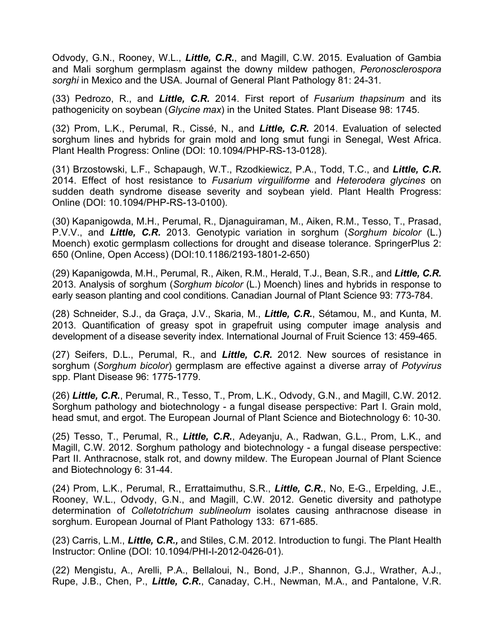Odvody, G.N., Rooney, W.L., *Little, C.R.*, and Magill, C.W. 2015. Evaluation of Gambia and Mali sorghum germplasm against the downy mildew pathogen, *Peronosclerospora sorghi* in Mexico and the USA. Journal of General Plant Pathology 81: 24-31*.*

(33) Pedrozo, R., and *Little, C.R.* 2014. First report of *Fusarium thapsinum* and its pathogenicity on soybean (*Glycine max*) in the United States. Plant Disease 98: 1745.

(32) Prom, L.K., Perumal, R., Cissé, N., and *Little, C.R.* 2014. Evaluation of selected sorghum lines and hybrids for grain mold and long smut fungi in Senegal, West Africa. Plant Health Progress: Online (DOI: 10.1094/PHP-RS-13-0128).

(31) Brzostowski, L.F., Schapaugh, W.T., Rzodkiewicz, P.A., Todd, T.C., and *Little, C.R.* 2014. Effect of host resistance to *Fusarium virguiliforme* and *Heterodera glycines* on sudden death syndrome disease severity and soybean yield. Plant Health Progress: Online (DOI: 10.1094/PHP-RS-13-0100).

(30) Kapanigowda, M.H., Perumal, R., Djanaguiraman, M., Aiken, R.M., Tesso, T., Prasad, P.V.V., and *Little, C.R.* 2013. Genotypic variation in sorghum (*Sorghum bicolor* (L.) Moench) exotic germplasm collections for drought and disease tolerance. SpringerPlus 2: 650 (Online, Open Access) (DOI:10.1186/2193-1801-2-650)

(29) Kapanigowda, M.H., Perumal, R., Aiken, R.M., Herald, T.J., Bean, S.R., and *Little, C.R.*  2013. Analysis of sorghum (*Sorghum bicolor* (L.) Moench) lines and hybrids in response to early season planting and cool conditions. Canadian Journal of Plant Science 93: 773-784.

(28) Schneider, S.J., da Graça, J.V., Skaria, M., *Little, C.R.*, Sétamou, M., and Kunta, M. 2013. Quantification of greasy spot in grapefruit using computer image analysis and development of a disease severity index. International Journal of Fruit Science 13: 459-465.

(27) Seifers, D.L., Perumal, R., and *Little, C.R.* 2012. New sources of resistance in sorghum (*Sorghum bicolor*) germplasm are effective against a diverse array of *Potyvirus* spp. Plant Disease 96: 1775-1779.

(26) *Little, C.R.*, Perumal, R., Tesso, T., Prom, L.K., Odvody, G.N., and Magill, C.W. 2012. Sorghum pathology and biotechnology - a fungal disease perspective: Part I. Grain mold, head smut, and ergot. The European Journal of Plant Science and Biotechnology 6: 10-30.

(25) Tesso, T., Perumal, R., *Little, C.R.*, Adeyanju, A., Radwan, G.L., Prom, L.K., and Magill, C.W. 2012. Sorghum pathology and biotechnology - a fungal disease perspective: Part II. Anthracnose, stalk rot, and downy mildew. The European Journal of Plant Science and Biotechnology 6: 31-44.

(24) Prom, L.K., Perumal, R., Errattaimuthu, S.R., *Little, C.R.*, No, E-G., Erpelding, J.E., Rooney, W.L., Odvody, G.N., and Magill, C.W. 2012. Genetic diversity and pathotype determination of *Colletotrichum sublineolum* isolates causing anthracnose disease in sorghum. European Journal of Plant Pathology 133: 671-685.

(23) Carris, L.M., *Little, C.R.,* and Stiles, C.M. 2012. Introduction to fungi. The Plant Health Instructor: Online (DOI: 10.1094/PHI-I-2012-0426-01).

(22) Mengistu, A., Arelli, P.A., Bellaloui, N., Bond, J.P., Shannon, G.J., Wrather, A.J., Rupe, J.B., Chen, P., *Little, C.R.*, Canaday, C.H., Newman, M.A., and Pantalone, V.R.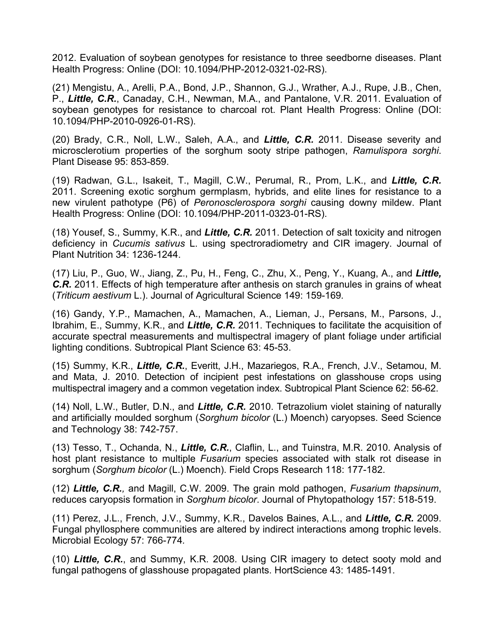2012. Evaluation of soybean genotypes for resistance to three seedborne diseases. Plant Health Progress: Online (DOI: 10.1094/PHP-2012-0321-02-RS).

(21) Mengistu, A., Arelli, P.A., Bond, J.P., Shannon, G.J., Wrather, A.J., Rupe, J.B., Chen, P., *Little, C.R.*, Canaday, C.H., Newman, M.A., and Pantalone, V.R. 2011. Evaluation of soybean genotypes for resistance to charcoal rot. Plant Health Progress: Online (DOI: 10.1094/PHP-2010-0926-01-RS).

(20) Brady, C.R., Noll, L.W., Saleh, A.A., and *Little, C.R.* 2011. Disease severity and microsclerotium properties of the sorghum sooty stripe pathogen, *Ramulispora sorghi*. Plant Disease 95: 853-859.

(19) Radwan, G.L., Isakeit, T., Magill, C.W., Perumal, R., Prom, L.K., and *Little, C.R.* 2011. Screening exotic sorghum germplasm, hybrids, and elite lines for resistance to a new virulent pathotype (P6) of *Peronosclerospora sorghi* causing downy mildew. Plant Health Progress: Online (DOI: 10.1094/PHP-2011-0323-01-RS).

(18) Yousef, S., Summy, K.R., and *Little, C.R.* 2011. Detection of salt toxicity and nitrogen deficiency in *Cucumis sativus* L. using spectroradiometry and CIR imagery. Journal of Plant Nutrition 34: 1236-1244.

(17) Liu, P., Guo, W., Jiang, Z., Pu, H., Feng, C., Zhu, X., Peng, Y., Kuang, A., and *Little, C.R.* 2011. Effects of high temperature after anthesis on starch granules in grains of wheat (*Triticum aestivum* L.). Journal of Agricultural Science 149: 159-169*.*

(16) Gandy, Y.P., Mamachen, A., Mamachen, A., Lieman, J., Persans, M., Parsons, J., Ibrahim, E., Summy, K.R., and *Little, C.R.* 2011. Techniques to facilitate the acquisition of accurate spectral measurements and multispectral imagery of plant foliage under artificial lighting conditions. Subtropical Plant Science 63: 45-53.

(15) Summy, K.R., *Little, C.R.*, Everitt, J.H., Mazariegos, R.A., French, J.V., Setamou, M. and Mata, J. 2010. Detection of incipient pest infestations on glasshouse crops using multispectral imagery and a common vegetation index. Subtropical Plant Science 62: 56-62.

(14) Noll, L.W., Butler, D.N., and *Little, C.R.* 2010. Tetrazolium violet staining of naturally and artificially moulded sorghum (*Sorghum bicolor* (L.) Moench) caryopses. Seed Science and Technology 38: 742-757.

(13) Tesso, T., Ochanda, N., *Little, C.R.*, Claflin, L., and Tuinstra, M.R. 2010. Analysis of host plant resistance to multiple *Fusarium* species associated with stalk rot disease in sorghum (*Sorghum bicolor* (L.) Moench). Field Crops Research 118: 177-182.

(12) *Little, C.R.,* and Magill, C.W. 2009. The grain mold pathogen, *Fusarium thapsinum*, reduces caryopsis formation in *Sorghum bicolor*. Journal of Phytopathology 157: 518-519.

(11) Perez, J.L., French, J.V., Summy, K.R., Davelos Baines, A.L., and *Little, C.R.* 2009. Fungal phyllosphere communities are altered by indirect interactions among trophic levels. Microbial Ecology 57: 766-774*.*

(10) *Little, C.R.*, and Summy, K.R. 2008. Using CIR imagery to detect sooty mold and fungal pathogens of glasshouse propagated plants. HortScience 43: 1485-1491.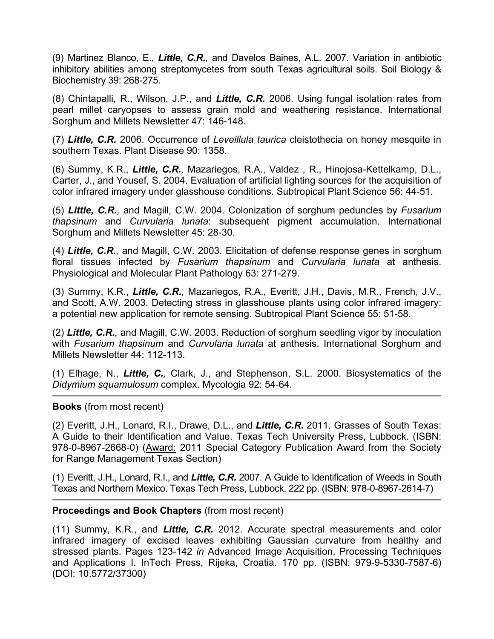(9) Martinez Blanco, E., *Little, C.R.,* and Davelos Baines, A.L. 2007. Variation in antibiotic inhibitory abilities among streptomycetes from south Texas agricultural soils. Soil Biology & Biochemistry 39: 268-275.

(8) Chintapalli, R., Wilson, J.P., and *Little, C.R.* 2006. Using fungal isolation rates from pearl millet caryopses to assess grain mold and weathering resistance. International Sorghum and Millets Newsletter 47: 146-148.

(7) *Little, C.R.* 2006. Occurrence of *Leveillula taurica* cleistothecia on honey mesquite in southern Texas. Plant Disease 90: 1358.

(6) Summy, K.R., *Little, C.R.,* Mazariegos, R.A., Valdez , R., Hinojosa-Kettelkamp, D.L., Carter, J., and Yousef, S. 2004. Evaluation of artificial lighting sources for the acquisition of color infrared imagery under glasshouse conditions. Subtropical Plant Science 56: 44-51.

(5) *Little, C.R.,* and Magill, C.W. 2004. Colonization of sorghum peduncles by *Fusarium thapsinum* and *Curvularia lunata*: subsequent pigment accumulation. International Sorghum and Millets Newsletter 45: 28-30.

(4) *Little, C.R.,* and Magill, C.W. 2003. Elicitation of defense response genes in sorghum floral tissues infected by *Fusarium thapsinum* and *Curvularia lunata* at anthesis. Physiological and Molecular Plant Pathology 63: 271-279.

(3) Summy, K.R., *Little, C.R.,* Mazariegos, R.A., Everitt, J.H., Davis, M.R., French, J.V., and Scott, A.W. 2003. Detecting stress in glasshouse plants using color infrared imagery: a potential new application for remote sensing. Subtropical Plant Science 55: 51-58.

(2) *Little, C.R.,* and Magill, C.W. 2003. Reduction of sorghum seedling vigor by inoculation with *Fusarium thapsinum* and *Curvularia lunata* at anthesis. International Sorghum and Millets Newsletter 44: 112-113.

(1) Elhage, N., *Little, C.,* Clark, J., and Stephenson, S.L. 2000. Biosystematics of the *Didymium squamulosum* complex. Mycologia 92: 54-64.

## **Books** (from most recent)

(2) Everitt, J.H., Lonard, R.I., Drawe, D.L., and *Little, C.R.* 2011. Grasses of South Texas: A Guide to their Identification and Value. Texas Tech University Press, Lubbock. (ISBN: 978-0-8967-2668-0) (Award: 2011 Special Category Publication Award from the Society for Range Management Texas Section)

(1) Everitt, J.H., Lonard, R.I., and *Little, C.R.* 2007. A Guide to Identification of Weeds in South Texas and Northern Mexico. Texas Tech Press, Lubbock. 222 pp. (ISBN: 978-0-8967-2614-7)

#### **Proceedings and Book Chapters** (from most recent)

(11) Summy, K.R., and *Little, C.R.* 2012. Accurate spectral measurements and color infrared imagery of excised leaves exhibiting Gaussian curvature from healthy and stressed plants. Pages 123-142 *in* Advanced Image Acquisition, Processing Techniques and Applications I. InTech Press, Rijeka, Croatia. 170 pp. (ISBN: 979-9-5330-7587-6) (DOI: 10.5772/37300)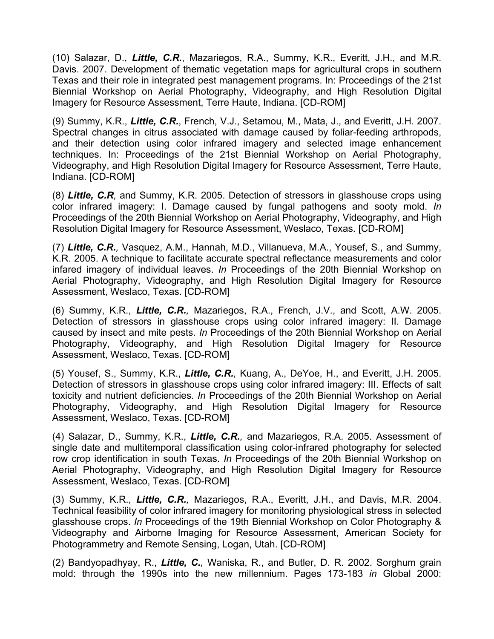(10) Salazar, D., *Little, C.R.*, Mazariegos, R.A., Summy, K.R., Everitt, J.H., and M.R. Davis. 2007. Development of thematic vegetation maps for agricultural crops in southern Texas and their role in integrated pest management programs. In: Proceedings of the 21st Biennial Workshop on Aerial Photography, Videography, and High Resolution Digital Imagery for Resource Assessment, Terre Haute, Indiana. [CD-ROM]

(9) Summy, K.R., *Little, C.R.*, French, V.J., Setamou, M., Mata, J., and Everitt, J.H. 2007. Spectral changes in citrus associated with damage caused by foliar-feeding arthropods, and their detection using color infrared imagery and selected image enhancement techniques. In: Proceedings of the 21st Biennial Workshop on Aerial Photography, Videography, and High Resolution Digital Imagery for Resource Assessment, Terre Haute, Indiana. [CD-ROM]

(8) *Little, C.R,* and Summy, K.R. 2005. Detection of stressors in glasshouse crops using color infrared imagery: I. Damage caused by fungal pathogens and sooty mold. *In* Proceedings of the 20th Biennial Workshop on Aerial Photography, Videography, and High Resolution Digital Imagery for Resource Assessment, Weslaco, Texas. [CD-ROM]

(7) *Little, C.R.,* Vasquez, A.M., Hannah, M.D., Villanueva, M.A., Yousef, S., and Summy, K.R. 2005. A technique to facilitate accurate spectral reflectance measurements and color infared imagery of individual leaves. *In* Proceedings of the 20th Biennial Workshop on Aerial Photography, Videography, and High Resolution Digital Imagery for Resource Assessment, Weslaco, Texas. [CD-ROM]

(6) Summy, K.R., *Little, C.R.,* Mazariegos, R.A., French, J.V., and Scott, A.W. 2005. Detection of stressors in glasshouse crops using color infrared imagery: II. Damage caused by insect and mite pests. *In* Proceedings of the 20th Biennial Workshop on Aerial Photography, Videography, and High Resolution Digital Imagery for Resource Assessment, Weslaco, Texas. [CD-ROM]

(5) Yousef, S., Summy, K.R., *Little, C.R.,* Kuang, A., DeYoe, H., and Everitt, J.H. 2005. Detection of stressors in glasshouse crops using color infrared imagery: III. Effects of salt toxicity and nutrient deficiencies. *In* Proceedings of the 20th Biennial Workshop on Aerial Photography, Videography, and High Resolution Digital Imagery for Resource Assessment, Weslaco, Texas. [CD-ROM]

(4) Salazar, D., Summy, K.R., *Little, C.R.,* and Mazariegos, R.A. 2005. Assessment of single date and multitemporal classification using color-infrared photography for selected row crop identification in south Texas. *In* Proceedings of the 20th Biennial Workshop on Aerial Photography, Videography, and High Resolution Digital Imagery for Resource Assessment, Weslaco, Texas. [CD-ROM]

(3) Summy, K.R., *Little, C.R.,* Mazariegos, R.A., Everitt, J.H., and Davis, M.R. 2004. Technical feasibility of color infrared imagery for monitoring physiological stress in selected glasshouse crops. *In* Proceedings of the 19th Biennial Workshop on Color Photography & Videography and Airborne Imaging for Resource Assessment, American Society for Photogrammetry and Remote Sensing, Logan, Utah. [CD-ROM]

(2) Bandyopadhyay, R., *Little, C.,* Waniska, R., and Butler, D. R. 2002. Sorghum grain mold: through the 1990s into the new millennium. Pages 173-183 *in* Global 2000: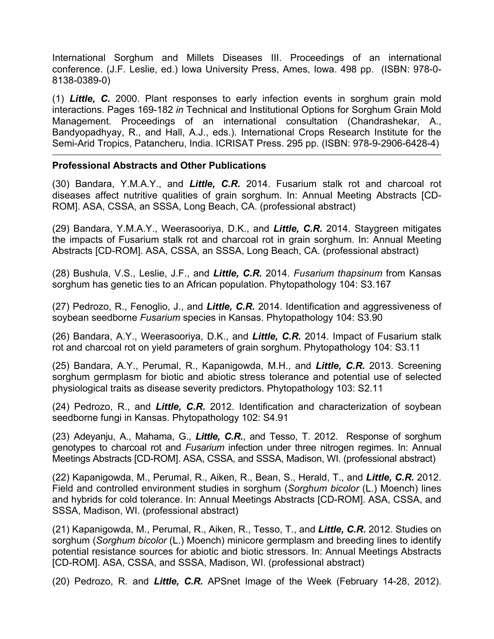International Sorghum and Millets Diseases III. Proceedings of an international conference. (J.F. Leslie, ed.) Iowa University Press, Ames, Iowa. 498 pp. (ISBN: 978-0- 8138-0389-0)

(1) *Little, C.* 2000. Plant responses to early infection events in sorghum grain mold interactions. Pages 169-182 *in* Technical and Institutional Options for Sorghum Grain Mold Management. Proceedings of an international consultation (Chandrashekar, A., Bandyopadhyay, R., and Hall, A.J., eds.). International Crops Research Institute for the Semi-Arid Tropics, Patancheru, India. ICRISAT Press. 295 pp. (ISBN: 978-9-2906-6428-4)

## **Professional Abstracts and Other Publications**

(30) Bandara, Y.M.A.Y., and *Little, C.R.* 2014. Fusarium stalk rot and charcoal rot diseases affect nutritive qualities of grain sorghum. In: Annual Meeting Abstracts [CD-ROM]. ASA, CSSA, an SSSA, Long Beach, CA. (professional abstract)

(29) Bandara, Y.M.A.Y., Weerasooriya, D.K., and *Little, C.R.* 2014. Staygreen mitigates the impacts of Fusarium stalk rot and charcoal rot in grain sorghum. In: Annual Meeting Abstracts [CD-ROM]. ASA, CSSA, an SSSA, Long Beach, CA. (professional abstract)

(28) Bushula, V.S., Leslie, J.F., and *Little, C.R.* 2014. *Fusarium thapsinum* from Kansas sorghum has genetic ties to an African population. Phytopathology 104: S3.167

(27) Pedrozo, R., Fenoglio, J., and *Little, C.R.* 2014. Identification and aggressiveness of soybean seedborne *Fusarium* species in Kansas. Phytopathology 104: S3.90

(26) Bandara, A.Y., Weerasooriya, D.K., and *Little, C.R.* 2014. Impact of Fusarium stalk rot and charcoal rot on yield parameters of grain sorghum. Phytopathology 104: S3.11

(25) Bandara, A.Y., Perumal, R., Kapanigowda, M.H., and *Little, C.R.* 2013. Screening sorghum germplasm for biotic and abiotic stress tolerance and potential use of selected physiological traits as disease severity predictors. Phytopathology 103: S2.11

(24) Pedrozo, R., and *Little, C.R.* 2012. Identification and characterization of soybean seedborne fungi in Kansas. Phytopathology 102: S4.91

(23) Adeyanju, A., Mahama, G., *Little, C.R.*, and Tesso, T. 2012. Response of sorghum genotypes to charcoal rot and *Fusarium* infection under three nitrogen regimes. In: Annual Meetings Abstracts [CD-ROM]. ASA, CSSA, and SSSA, Madison, WI. (professional abstract)

(22) Kapanigowda, M., Perumal, R., Aiken, R., Bean, S., Herald, T., and *Little, C.R.* 2012. Field and controlled environment studies in sorghum (*Sorghum bicolor* (L.) Moench) lines and hybrids for cold tolerance. In: Annual Meetings Abstracts [CD-ROM]. ASA, CSSA, and SSSA, Madison, WI. (professional abstract)

(21) Kapanigowda, M., Perumal, R., Aiken, R., Tesso, T., and *Little, C.R.* 2012. Studies on sorghum (*Sorghum bicolor* (L.) Moench) minicore germplasm and breeding lines to identify potential resistance sources for abiotic and biotic stressors. In: Annual Meetings Abstracts [CD-ROM]. ASA, CSSA, and SSSA, Madison, WI. (professional abstract)

(20) Pedrozo, R. and *Little, C.R.* APSnet Image of the Week (February 14-28, 2012).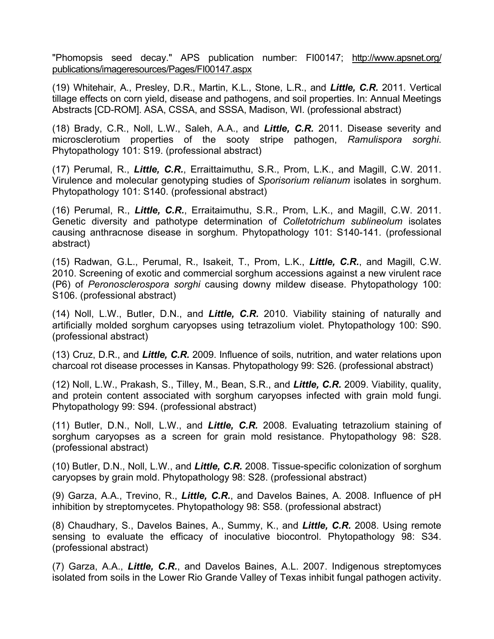"Phomopsis seed decay." APS publication number: FI00147; http://www.apsnet.org/ publications/imageresources/Pages/FI00147.aspx

(19) Whitehair, A., Presley, D.R., Martin, K.L., Stone, L.R., and *Little, C.R.* 2011. Vertical tillage effects on corn yield, disease and pathogens, and soil properties. In: Annual Meetings Abstracts [CD-ROM]. ASA, CSSA, and SSSA, Madison, WI. (professional abstract)

(18) Brady, C.R., Noll, L.W., Saleh, A.A., and *Little, C.R.* 2011. Disease severity and microsclerotium properties of the sooty stripe pathogen, *Ramulispora sorghi*. Phytopathology 101: S19. (professional abstract)

(17) Perumal, R., *Little, C.R.*, Erraittaimuthu, S.R., Prom, L.K., and Magill, C.W. 2011. Virulence and molecular genotyping studies of *Sporisorium relianum* isolates in sorghum. Phytopathology 101: S140. (professional abstract)

(16) Perumal, R., *Little, C.R.*, Erraitaimuthu, S.R., Prom, L.K., and Magill, C.W. 2011. Genetic diversity and pathotype determination of *Colletotrichum sublineolum* isolates causing anthracnose disease in sorghum. Phytopathology 101: S140-141. (professional abstract)

(15) Radwan, G.L., Perumal, R., Isakeit, T., Prom, L.K., *Little, C.R.*, and Magill, C.W. 2010. Screening of exotic and commercial sorghum accessions against a new virulent race (P6) of *Peronosclerospora sorghi* causing downy mildew disease. Phytopathology 100: S106. (professional abstract)

(14) Noll, L.W., Butler, D.N., and *Little, C.R.* 2010. Viability staining of naturally and artificially molded sorghum caryopses using tetrazolium violet. Phytopathology 100: S90. (professional abstract)

(13) Cruz, D.R., and *Little, C.R.* 2009. Influence of soils, nutrition, and water relations upon charcoal rot disease processes in Kansas. Phytopathology 99: S26. (professional abstract)

(12) Noll, L.W., Prakash, S., Tilley, M., Bean, S.R., and *Little, C.R.* 2009. Viability, quality, and protein content associated with sorghum caryopses infected with grain mold fungi. Phytopathology 99: S94. (professional abstract)

(11) Butler, D.N., Noll, L.W., and *Little, C.R.* 2008. Evaluating tetrazolium staining of sorghum caryopses as a screen for grain mold resistance. Phytopathology 98: S28. (professional abstract)

(10) Butler, D.N., Noll, L.W., and *Little, C.R.* 2008. Tissue-specific colonization of sorghum caryopses by grain mold. Phytopathology 98: S28. (professional abstract)

(9) Garza, A.A., Trevino, R., *Little, C.R.*, and Davelos Baines, A. 2008. Influence of pH inhibition by streptomycetes. Phytopathology 98: S58. (professional abstract)

(8) Chaudhary, S., Davelos Baines, A., Summy, K., and *Little, C.R.* 2008. Using remote sensing to evaluate the efficacy of inoculative biocontrol. Phytopathology 98: S34. (professional abstract)

(7) Garza, A.A., *Little, C.R.*, and Davelos Baines, A.L. 2007. Indigenous streptomyces isolated from soils in the Lower Rio Grande Valley of Texas inhibit fungal pathogen activity.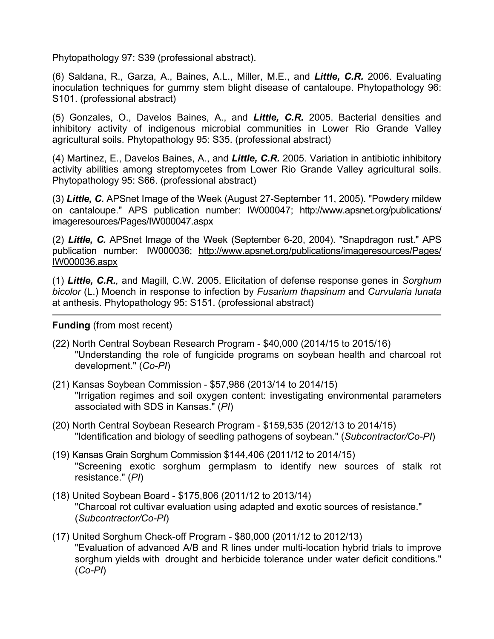Phytopathology 97: S39 (professional abstract).

(6) Saldana, R., Garza, A., Baines, A.L., Miller, M.E., and *Little, C.R.* 2006. Evaluating inoculation techniques for gummy stem blight disease of cantaloupe. Phytopathology 96: S101. (professional abstract)

(5) Gonzales, O., Davelos Baines, A., and *Little, C.R.* 2005. Bacterial densities and inhibitory activity of indigenous microbial communities in Lower Rio Grande Valley agricultural soils. Phytopathology 95: S35. (professional abstract)

(4) Martinez, E., Davelos Baines, A., and *Little, C.R.* 2005. Variation in antibiotic inhibitory activity abilities among streptomycetes from Lower Rio Grande Valley agricultural soils. Phytopathology 95: S66. (professional abstract)

(3) *Little, C.* APSnet Image of the Week (August 27-September 11, 2005). "Powdery mildew on cantaloupe." APS publication number: IW000047; http://www.apsnet.org/publications/ imageresources/Pages/IW000047.aspx

(2) *Little, C.* APSnet Image of the Week (September 6-20, 2004). "Snapdragon rust." APS publication number: IW000036; http://www.apsnet.org/publications/imageresources/Pages/ IW000036.aspx

(1) *Little, C.R.,* and Magill, C.W. 2005. Elicitation of defense response genes in *Sorghum bicolor* (L.) Moench in response to infection by *Fusarium thapsinum* and *Curvularia lunata* at anthesis. Phytopathology 95: S151. (professional abstract)

**Funding** (from most recent)

- (22) North Central Soybean Research Program \$40,000 (2014/15 to 2015/16) "Understanding the role of fungicide programs on soybean health and charcoal rot development." (*Co-PI*)
- (21) Kansas Soybean Commission \$57,986 (2013/14 to 2014/15) "Irrigation regimes and soil oxygen content: investigating environmental parameters associated with SDS in Kansas." (*PI*)
- (20) North Central Soybean Research Program \$159,535 (2012/13 to 2014/15) "Identification and biology of seedling pathogens of soybean." (*Subcontractor/Co-PI*)
- (19) Kansas Grain Sorghum Commission \$144,406 (2011/12 to 2014/15) "Screening exotic sorghum germplasm to identify new sources of stalk rot resistance." (*PI*)
- (18) United Soybean Board \$175,806 (2011/12 to 2013/14) "Charcoal rot cultivar evaluation using adapted and exotic sources of resistance." (*Subcontractor/Co-PI*)
- (17) United Sorghum Check-off Program \$80,000 (2011/12 to 2012/13) "Evaluation of advanced A/B and R lines under multi-location hybrid trials to improve sorghum yields with drought and herbicide tolerance under water deficit conditions." (*Co-PI*)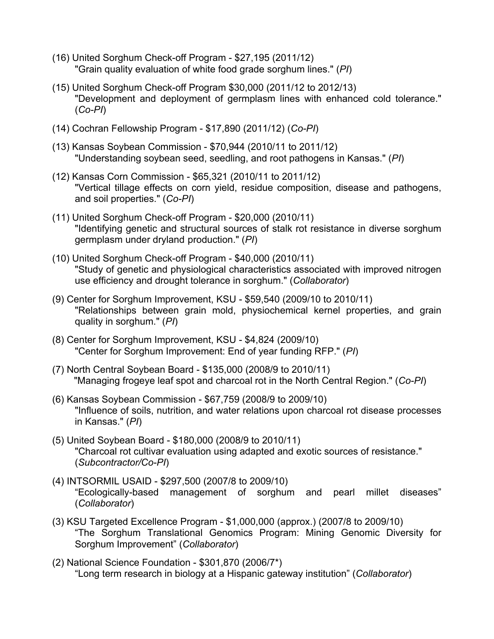- (16) United Sorghum Check-off Program \$27,195 (2011/12) "Grain quality evaluation of white food grade sorghum lines." (*PI*)
- (15) United Sorghum Check-off Program \$30,000 (2011/12 to 2012/13) "Development and deployment of germplasm lines with enhanced cold tolerance." (*Co-PI*)
- (14) Cochran Fellowship Program \$17,890 (2011/12) (*Co-PI*)
- (13) Kansas Soybean Commission \$70,944 (2010/11 to 2011/12) "Understanding soybean seed, seedling, and root pathogens in Kansas." (*PI*)
- (12) Kansas Corn Commission \$65,321 (2010/11 to 2011/12) "Vertical tillage effects on corn yield, residue composition, disease and pathogens, and soil properties." (*Co-PI*)
- (11) United Sorghum Check-off Program \$20,000 (2010/11) "Identifying genetic and structural sources of stalk rot resistance in diverse sorghum germplasm under dryland production." (*PI*)
- (10) United Sorghum Check-off Program \$40,000 (2010/11) "Study of genetic and physiological characteristics associated with improved nitrogen use efficiency and drought tolerance in sorghum." (*Collaborator*)
- (9) Center for Sorghum Improvement, KSU \$59,540 (2009/10 to 2010/11) "Relationships between grain mold, physiochemical kernel properties, and grain quality in sorghum." (*PI*)
- (8) Center for Sorghum Improvement, KSU \$4,824 (2009/10) "Center for Sorghum Improvement: End of year funding RFP." (*PI*)
- (7) North Central Soybean Board \$135,000 (2008/9 to 2010/11) "Managing frogeye leaf spot and charcoal rot in the North Central Region." (*Co-PI*)
- (6) Kansas Soybean Commission \$67,759 (2008/9 to 2009/10) "Influence of soils, nutrition, and water relations upon charcoal rot disease processes in Kansas." (*PI*)
- (5) United Soybean Board \$180,000 (2008/9 to 2010/11) "Charcoal rot cultivar evaluation using adapted and exotic sources of resistance." (*Subcontractor/Co-PI*)
- (4) INTSORMIL USAID \$297,500 (2007/8 to 2009/10) "Ecologically-based management of sorghum and pearl millet diseases" (*Collaborator*)
- (3) KSU Targeted Excellence Program \$1,000,000 (approx.) (2007/8 to 2009/10) "The Sorghum Translational Genomics Program: Mining Genomic Diversity for Sorghum Improvement" (*Collaborator*)
- (2) National Science Foundation \$301,870 (2006/7\*) "Long term research in biology at a Hispanic gateway institution" (*Collaborator*)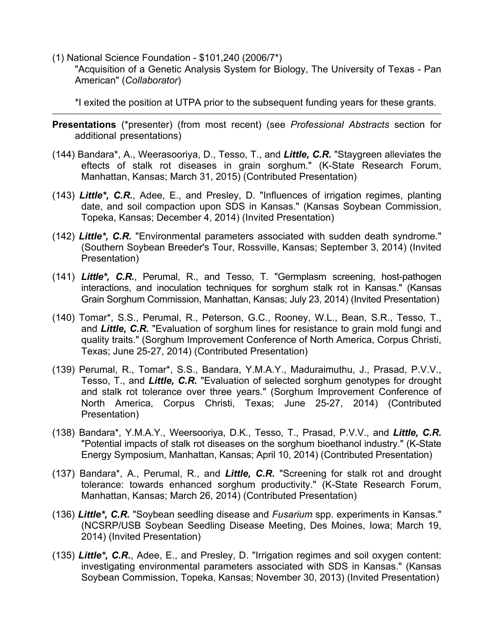(1) National Science Foundation - \$101,240 (2006/7\*)

"Acquisition of a Genetic Analysis System for Biology, The University of Texas - Pan American" (*Collaborator*)

\*I exited the position at UTPA prior to the subsequent funding years for these grants.

- **Presentations** (\*presenter) (from most recent) (see *Professional Abstracts* section for additional presentations)
- (144) Bandara\*, A., Weerasooriya, D., Tesso, T., and *Little, C.R.* "Staygreen alleviates the eftects of stalk rot diseases in grain sorghum." (K-State Research Forum, Manhattan, Kansas; March 31, 2015) (Contributed Presentation)
- (143) *Little\*, C.R.*, Adee, E., and Presley, D. "Influences of irrigation regimes, planting date, and soil compaction upon SDS in Kansas." (Kansas Soybean Commission, Topeka, Kansas; December 4, 2014) (Invited Presentation)
- (142) *Little\*, C.R.* "Environmental parameters associated with sudden death syndrome." (Southern Soybean Breeder's Tour, Rossville, Kansas; September 3, 2014) (Invited Presentation)
- (141) *Little\*, C.R.*, Perumal, R., and Tesso, T. "Germplasm screening, host-pathogen interactions, and inoculation techniques for sorghum stalk rot in Kansas." (Kansas Grain Sorghum Commission, Manhattan, Kansas; July 23, 2014) (Invited Presentation)
- (140) Tomar\*, S.S., Perumal, R., Peterson, G.C., Rooney, W.L., Bean, S.R., Tesso, T., and *Little, C.R.* "Evaluation of sorghum lines for resistance to grain mold fungi and quality traits." (Sorghum Improvement Conference of North America, Corpus Christi, Texas; June 25-27, 2014) (Contributed Presentation)
- (139) Perumal, R., Tomar\*, S.S., Bandara, Y.M.A.Y., Maduraimuthu, J., Prasad, P.V.V., Tesso, T., and *Little, C.R.* "Evaluation of selected sorghum genotypes for drought and stalk rot tolerance over three years." (Sorghum Improvement Conference of North America, Corpus Christi, Texas; June 25-27, 2014) (Contributed Presentation)
- (138) Bandara\*, Y.M.A.Y., Weersooriya, D.K., Tesso, T., Prasad, P.V.V., and *Little, C.R.* "Potential impacts of stalk rot diseases on the sorghum bioethanol industry." (K-State Energy Symposium, Manhattan, Kansas; April 10, 2014) (Contributed Presentation)
- (137) Bandara\*, A., Perumal, R., and *Little, C.R.* "Screening for stalk rot and drought tolerance: towards enhanced sorghum productivity." (K-State Research Forum, Manhattan, Kansas; March 26, 2014) (Contributed Presentation)
- (136) *Little\*, C.R.* "Soybean seedling disease and *Fusarium* spp. experiments in Kansas." (NCSRP/USB Soybean Seedling Disease Meeting, Des Moines, Iowa; March 19, 2014) (Invited Presentation)
- (135) *Little\*, C.R.*, Adee, E., and Presley, D. "Irrigation regimes and soil oxygen content: investigating environmental parameters associated with SDS in Kansas." (Kansas Soybean Commission, Topeka, Kansas; November 30, 2013) (Invited Presentation)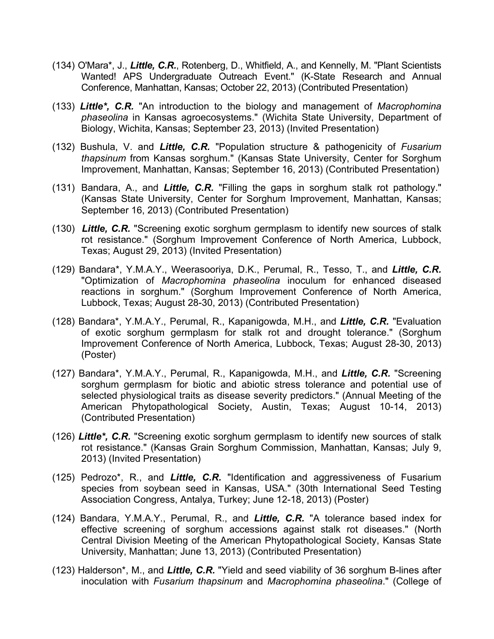- (134) O'Mara\*, J., *Little, C.R.*, Rotenberg, D., Whitfield, A., and Kennelly, M. "Plant Scientists Wanted! APS Undergraduate Outreach Event." (K-State Research and Annual Conference, Manhattan, Kansas; October 22, 2013) (Contributed Presentation)
- (133) *Little\*, C.R.* "An introduction to the biology and management of *Macrophomina phaseolina* in Kansas agroecosystems." (Wichita State University, Department of Biology, Wichita, Kansas; September 23, 2013) (Invited Presentation)
- (132) Bushula, V. and *Little, C.R.* "Population structure & pathogenicity of *Fusarium thapsinum* from Kansas sorghum." (Kansas State University, Center for Sorghum Improvement, Manhattan, Kansas; September 16, 2013) (Contributed Presentation)
- (131) Bandara, A., and *Little, C.R.* "Filling the gaps in sorghum stalk rot pathology." (Kansas State University, Center for Sorghum Improvement, Manhattan, Kansas; September 16, 2013) (Contributed Presentation)
- (130) *Little, C.R.* "Screening exotic sorghum germplasm to identify new sources of stalk rot resistance." (Sorghum Improvement Conference of North America, Lubbock, Texas; August 29, 2013) (Invited Presentation)
- (129) Bandara\*, Y.M.A.Y., Weerasooriya, D.K., Perumal, R., Tesso, T., and *Little, C.R.* "Optimization of *Macrophomina phaseolina* inoculum for enhanced diseased reactions in sorghum." (Sorghum Improvement Conference of North America, Lubbock, Texas; August 28-30, 2013) (Contributed Presentation)
- (128) Bandara\*, Y.M.A.Y., Perumal, R., Kapanigowda, M.H., and *Little, C.R.* "Evaluation of exotic sorghum germplasm for stalk rot and drought tolerance." (Sorghum Improvement Conference of North America, Lubbock, Texas; August 28-30, 2013) (Poster)
- (127) Bandara\*, Y.M.A.Y., Perumal, R., Kapanigowda, M.H., and *Little, C.R.* "Screening sorghum germplasm for biotic and abiotic stress tolerance and potential use of selected physiological traits as disease severity predictors." (Annual Meeting of the American Phytopathological Society, Austin, Texas; August 10-14, 2013) (Contributed Presentation)
- (126) *Little\*, C.R.* "Screening exotic sorghum germplasm to identify new sources of stalk rot resistance." (Kansas Grain Sorghum Commission, Manhattan, Kansas; July 9, 2013) (Invited Presentation)
- (125) Pedrozo\*, R., and *Little, C.R.* "Identification and aggressiveness of Fusarium species from soybean seed in Kansas, USA." (30th International Seed Testing Association Congress, Antalya, Turkey; June 12-18, 2013) (Poster)
- (124) Bandara, Y.M.A.Y., Perumal, R., and *Little, C.R.* "A tolerance based index for effective screening of sorghum accessions against stalk rot diseases." (North Central Division Meeting of the American Phytopathological Society, Kansas State University, Manhattan; June 13, 2013) (Contributed Presentation)
- (123) Halderson\*, M., and *Little, C.R.* "Yield and seed viability of 36 sorghum B-lines after inoculation with *Fusarium thapsinum* and *Macrophomina phaseolina*." (College of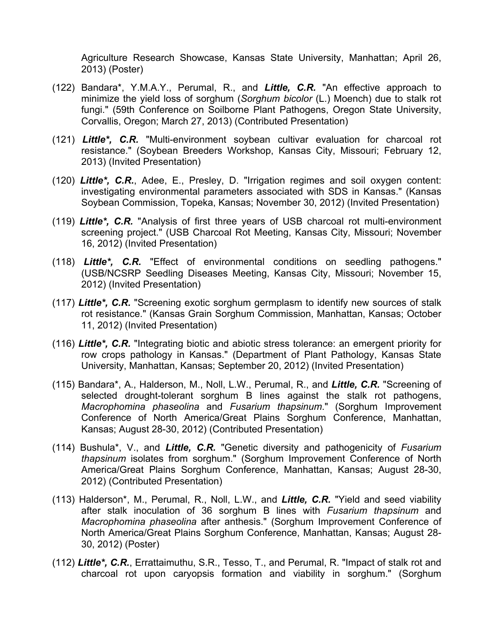Agriculture Research Showcase, Kansas State University, Manhattan; April 26, 2013) (Poster)

- (122) Bandara\*, Y.M.A.Y., Perumal, R., and *Little, C.R.* "An effective approach to minimize the yield loss of sorghum (*Sorghum bicolor* (L.) Moench) due to stalk rot fungi." (59th Conference on Soilborne Plant Pathogens, Oregon State University, Corvallis, Oregon; March 27, 2013) (Contributed Presentation)
- (121) *Little\*, C.R.* "Multi-environment soybean cultivar evaluation for charcoal rot resistance." (Soybean Breeders Workshop, Kansas City, Missouri; February 12, 2013) (Invited Presentation)
- (120) *Little\*, C.R.*, Adee, E., Presley, D. "Irrigation regimes and soil oxygen content: investigating environmental parameters associated with SDS in Kansas." (Kansas Soybean Commission, Topeka, Kansas; November 30, 2012) (Invited Presentation)
- (119) *Little\*, C.R.* "Analysis of first three years of USB charcoal rot multi-environment screening project." (USB Charcoal Rot Meeting, Kansas City, Missouri; November 16, 2012) (Invited Presentation)
- (118) *Little\*, C.R.* "Effect of environmental conditions on seedling pathogens." (USB/NCSRP Seedling Diseases Meeting, Kansas City, Missouri; November 15, 2012) (Invited Presentation)
- (117) *Little\*, C.R.* "Screening exotic sorghum germplasm to identify new sources of stalk rot resistance." (Kansas Grain Sorghum Commission, Manhattan, Kansas; October 11, 2012) (Invited Presentation)
- (116) *Little\*, C.R.* "Integrating biotic and abiotic stress tolerance: an emergent priority for row crops pathology in Kansas." (Department of Plant Pathology, Kansas State University, Manhattan, Kansas; September 20, 2012) (Invited Presentation)
- (115) Bandara\*, A., Halderson, M., Noll, L.W., Perumal, R., and *Little, C.R.* "Screening of selected drought-tolerant sorghum B lines against the stalk rot pathogens, *Macrophomina phaseolina* and *Fusarium thapsinum*." (Sorghum Improvement Conference of North America/Great Plains Sorghum Conference, Manhattan, Kansas; August 28-30, 2012) (Contributed Presentation)
- (114) Bushula\*, V., and *Little, C.R.* "Genetic diversity and pathogenicity of *Fusarium thapsinum* isolates from sorghum." (Sorghum Improvement Conference of North America/Great Plains Sorghum Conference, Manhattan, Kansas; August 28-30, 2012) (Contributed Presentation)
- (113) Halderson\*, M., Perumal, R., Noll, L.W., and *Little, C.R.* "Yield and seed viability after stalk inoculation of 36 sorghum B lines with *Fusarium thapsinum* and *Macrophomina phaseolina* after anthesis." (Sorghum Improvement Conference of North America/Great Plains Sorghum Conference, Manhattan, Kansas; August 28- 30, 2012) (Poster)
- (112) *Little\*, C.R.*, Errattaimuthu, S.R., Tesso, T., and Perumal, R. "Impact of stalk rot and charcoal rot upon caryopsis formation and viability in sorghum." (Sorghum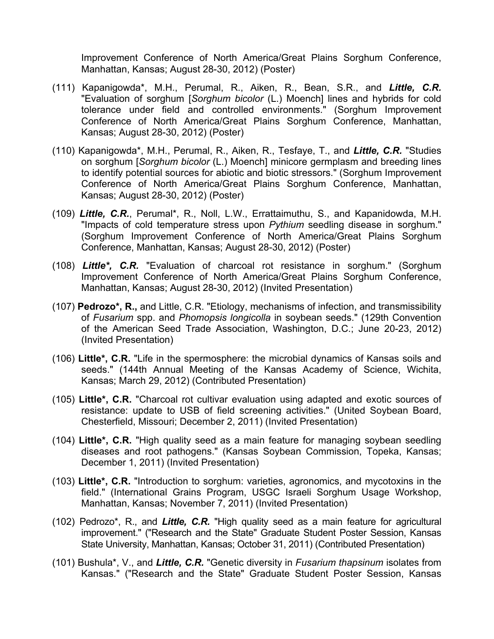Improvement Conference of North America/Great Plains Sorghum Conference, Manhattan, Kansas; August 28-30, 2012) (Poster)

- (111) Kapanigowda\*, M.H., Perumal, R., Aiken, R., Bean, S.R., and *Little, C.R.* "Evaluation of sorghum [*Sorghum bicolor* (L.) Moench] lines and hybrids for cold tolerance under field and controlled environments." (Sorghum Improvement Conference of North America/Great Plains Sorghum Conference, Manhattan, Kansas; August 28-30, 2012) (Poster)
- (110) Kapanigowda\*, M.H., Perumal, R., Aiken, R., Tesfaye, T., and *Little, C.R.* "Studies on sorghum [*Sorghum bicolor* (L.) Moench] minicore germplasm and breeding lines to identify potential sources for abiotic and biotic stressors." (Sorghum Improvement Conference of North America/Great Plains Sorghum Conference, Manhattan, Kansas; August 28-30, 2012) (Poster)
- (109) *Little, C.R.*, Perumal\*, R., Noll, L.W., Errattaimuthu, S., and Kapanidowda, M.H. "Impacts of cold temperature stress upon *Pythium* seedling disease in sorghum." (Sorghum Improvement Conference of North America/Great Plains Sorghum Conference, Manhattan, Kansas; August 28-30, 2012) (Poster)
- (108) *Little\*, C.R.* "Evaluation of charcoal rot resistance in sorghum." (Sorghum Improvement Conference of North America/Great Plains Sorghum Conference, Manhattan, Kansas; August 28-30, 2012) (Invited Presentation)
- (107) **Pedrozo\*, R.,** and Little, C.R. "Etiology, mechanisms of infection, and transmissibility of *Fusarium* spp. and *Phomopsis longicolla* in soybean seeds." (129th Convention of the American Seed Trade Association, Washington, D.C.; June 20-23, 2012) (Invited Presentation)
- (106) **Little\*, C.R.** "Life in the spermosphere: the microbial dynamics of Kansas soils and seeds." (144th Annual Meeting of the Kansas Academy of Science, Wichita, Kansas; March 29, 2012) (Contributed Presentation)
- (105) **Little\*, C.R.** "Charcoal rot cultivar evaluation using adapted and exotic sources of resistance: update to USB of field screening activities." (United Soybean Board, Chesterfield, Missouri; December 2, 2011) (Invited Presentation)
- (104) **Little\*, C.R.** "High quality seed as a main feature for managing soybean seedling diseases and root pathogens." (Kansas Soybean Commission, Topeka, Kansas; December 1, 2011) (Invited Presentation)
- (103) **Little\*, C.R.** "Introduction to sorghum: varieties, agronomics, and mycotoxins in the field." (International Grains Program, USGC Israeli Sorghum Usage Workshop, Manhattan, Kansas; November 7, 2011) (Invited Presentation)
- (102) Pedrozo\*, R., and *Little, C.R.* "High quality seed as a main feature for agricultural improvement." ("Research and the State" Graduate Student Poster Session, Kansas State University, Manhattan, Kansas; October 31, 2011) (Contributed Presentation)
- (101) Bushula\*, V., and *Little, C.R.* "Genetic diversity in *Fusarium thapsinum* isolates from Kansas." ("Research and the State" Graduate Student Poster Session, Kansas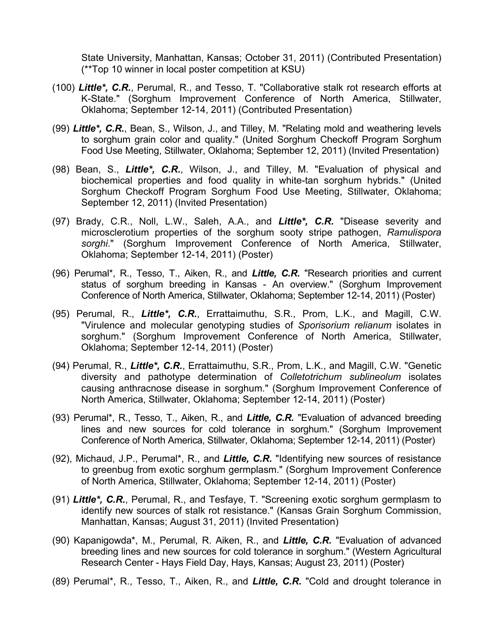State University, Manhattan, Kansas; October 31, 2011) (Contributed Presentation) (\*\*Top 10 winner in local poster competition at KSU)

- (100) *Little\*, C.R.*, Perumal, R., and Tesso, T. "Collaborative stalk rot research efforts at K-State." (Sorghum Improvement Conference of North America, Stillwater, Oklahoma; September 12-14, 2011) (Contributed Presentation)
- (99) *Little\*, C.R.*, Bean, S., Wilson, J., and Tilley, M. "Relating mold and weathering levels to sorghum grain color and quality." (United Sorghum Checkoff Program Sorghum Food Use Meeting, Stillwater, Oklahoma; September 12, 2011) (Invited Presentation)
- (98) Bean, S., *Little\*, C.R.*, Wilson, J., and Tilley, M. "Evaluation of physical and biochemical properties and food quality in white-tan sorghum hybrids." (United Sorghum Checkoff Program Sorghum Food Use Meeting, Stillwater, Oklahoma; September 12, 2011) (Invited Presentation)
- (97) Brady, C.R., Noll, L.W., Saleh, A.A., and *Little\*, C.R.* "Disease severity and microsclerotium properties of the sorghum sooty stripe pathogen, *Ramulispora sorghi*." (Sorghum Improvement Conference of North America, Stillwater, Oklahoma; September 12-14, 2011) (Poster)
- (96) Perumal\*, R., Tesso, T., Aiken, R., and *Little, C.R.* "Research priorities and current status of sorghum breeding in Kansas - An overview." (Sorghum Improvement Conference of North America, Stillwater, Oklahoma; September 12-14, 2011) (Poster)
- (95) Perumal, R., *Little\*, C.R.*, Errattaimuthu, S.R., Prom, L.K., and Magill, C.W. "Virulence and molecular genotyping studies of *Sporisorium relianum* isolates in sorghum." (Sorghum Improvement Conference of North America, Stillwater, Oklahoma; September 12-14, 2011) (Poster)
- (94) Perumal, R., *Little\*, C.R.*, Errattaimuthu, S.R., Prom, L.K., and Magill, C.W. "Genetic diversity and pathotype determination of *Colletotrichum sublineolum* isolates causing anthracnose disease in sorghum." (Sorghum Improvement Conference of North America, Stillwater, Oklahoma; September 12-14, 2011) (Poster)
- (93) Perumal\*, R., Tesso, T., Aiken, R., and *Little, C.R.* "Evaluation of advanced breeding lines and new sources for cold tolerance in sorghum." (Sorghum Improvement Conference of North America, Stillwater, Oklahoma; September 12-14, 2011) (Poster)
- (92), Michaud, J.P., Perumal\*, R., and *Little, C.R.* "Identifying new sources of resistance to greenbug from exotic sorghum germplasm." (Sorghum Improvement Conference of North America, Stillwater, Oklahoma; September 12-14, 2011) (Poster)
- (91) *Little\*, C.R.*, Perumal, R., and Tesfaye, T. "Screening exotic sorghum germplasm to identify new sources of stalk rot resistance." (Kansas Grain Sorghum Commission, Manhattan, Kansas; August 31, 2011) (Invited Presentation)
- (90) Kapanigowda\*, M., Perumal, R. Aiken, R., and *Little, C.R.* "Evaluation of advanced breeding lines and new sources for cold tolerance in sorghum." (Western Agricultural Research Center - Hays Field Day, Hays, Kansas; August 23, 2011) (Poster)
- (89) Perumal\*, R., Tesso, T., Aiken, R., and *Little, C.R.* "Cold and drought tolerance in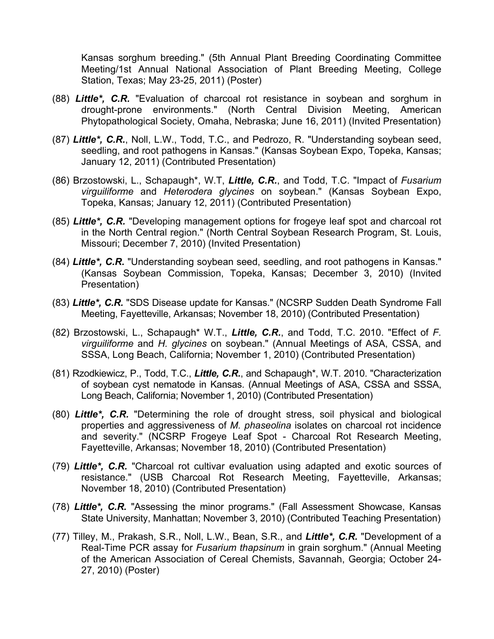Kansas sorghum breeding." (5th Annual Plant Breeding Coordinating Committee Meeting/1st Annual National Association of Plant Breeding Meeting, College Station, Texas; May 23-25, 2011) (Poster)

- (88) *Little\*, C.R.* "Evaluation of charcoal rot resistance in soybean and sorghum in drought-prone environments." (North Central Division Meeting, American Phytopathological Society, Omaha, Nebraska; June 16, 2011) (Invited Presentation)
- (87) *Little\*, C.R.*, Noll, L.W., Todd, T.C., and Pedrozo, R. "Understanding soybean seed, seedling, and root pathogens in Kansas." (Kansas Soybean Expo, Topeka, Kansas; January 12, 2011) (Contributed Presentation)
- (86) Brzostowski, L., Schapaugh\*, W.T, *Little, C.R.*, and Todd, T.C. "Impact of *Fusarium virguiliforme* and *Heterodera glycines* on soybean." (Kansas Soybean Expo, Topeka, Kansas; January 12, 2011) (Contributed Presentation)
- (85) *Little\*, C.R.* "Developing management options for frogeye leaf spot and charcoal rot in the North Central region." (North Central Soybean Research Program, St. Louis, Missouri; December 7, 2010) (Invited Presentation)
- (84) *Little\*, C.R.* "Understanding soybean seed, seedling, and root pathogens in Kansas." (Kansas Soybean Commission, Topeka, Kansas; December 3, 2010) (Invited Presentation)
- (83) *Little\*, C.R.* "SDS Disease update for Kansas." (NCSRP Sudden Death Syndrome Fall Meeting, Fayetteville, Arkansas; November 18, 2010) (Contributed Presentation)
- (82) Brzostowski, L., Schapaugh\* W.T., *Little, C.R.*, and Todd, T.C. 2010. "Effect of *F. virguiliforme* and *H. glycines* on soybean." (Annual Meetings of ASA, CSSA, and SSSA, Long Beach, California; November 1, 2010) (Contributed Presentation)
- (81) Rzodkiewicz, P., Todd, T.C., *Little, C.R.*, and Schapaugh\*, W.T. 2010. "Characterization of soybean cyst nematode in Kansas. (Annual Meetings of ASA, CSSA and SSSA, Long Beach, California; November 1, 2010) (Contributed Presentation)
- (80) *Little\*, C.R.* "Determining the role of drought stress, soil physical and biological properties and aggressiveness of *M. phaseolina* isolates on charcoal rot incidence and severity." (NCSRP Frogeye Leaf Spot - Charcoal Rot Research Meeting, Fayetteville, Arkansas; November 18, 2010) (Contributed Presentation)
- (79) *Little\*, C.R.* "Charcoal rot cultivar evaluation using adapted and exotic sources of resistance." (USB Charcoal Rot Research Meeting, Fayetteville, Arkansas; November 18, 2010) (Contributed Presentation)
- (78) *Little\*, C.R.* "Assessing the minor programs." (Fall Assessment Showcase, Kansas State University, Manhattan; November 3, 2010) (Contributed Teaching Presentation)
- (77) Tilley, M., Prakash, S.R., Noll, L.W., Bean, S.R., and *Little\*, C.R.* "Development of a Real-Time PCR assay for *Fusarium thapsinum* in grain sorghum." (Annual Meeting of the American Association of Cereal Chemists, Savannah, Georgia; October 24- 27, 2010) (Poster)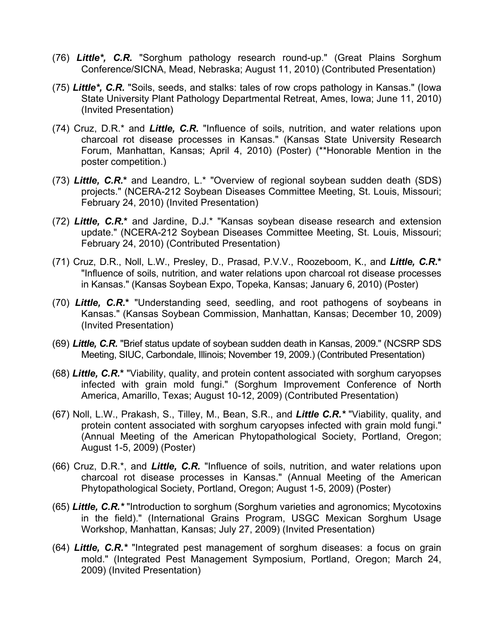- (76) *Little\*, C.R.* "Sorghum pathology research round-up." (Great Plains Sorghum Conference/SICNA, Mead, Nebraska; August 11, 2010) (Contributed Presentation)
- (75) *Little\*, C.R.* "Soils, seeds, and stalks: tales of row crops pathology in Kansas." (Iowa State University Plant Pathology Departmental Retreat, Ames, Iowa; June 11, 2010) (Invited Presentation)
- (74) Cruz, D.R.\* and *Little, C.R.* "Influence of soils, nutrition, and water relations upon charcoal rot disease processes in Kansas." (Kansas State University Research Forum, Manhattan, Kansas; April 4, 2010) (Poster) (\*\*Honorable Mention in the poster competition.)
- (73) *Little, C.R.***\*** and Leandro, L.\* "Overview of regional soybean sudden death (SDS) projects." (NCERA-212 Soybean Diseases Committee Meeting, St. Louis, Missouri; February 24, 2010) (Invited Presentation)
- (72) *Little, C.R.***\*** and Jardine, D.J.\* "Kansas soybean disease research and extension update." (NCERA-212 Soybean Diseases Committee Meeting, St. Louis, Missouri; February 24, 2010) (Contributed Presentation)
- (71) Cruz, D.R., Noll, L.W., Presley, D., Prasad, P.V.V., Roozeboom, K., and *Little, C.R.***\*** "Influence of soils, nutrition, and water relations upon charcoal rot disease processes in Kansas." (Kansas Soybean Expo, Topeka, Kansas; January 6, 2010) (Poster)
- (70) *Little, C.R.***\*** "Understanding seed, seedling, and root pathogens of soybeans in Kansas." (Kansas Soybean Commission, Manhattan, Kansas; December 10, 2009) (Invited Presentation)
- (69) *Little, C.R.* "Brief status update of soybean sudden death in Kansas, 2009." (NCSRP SDS Meeting, SIUC, Carbondale, Illinois; November 19, 2009.) (Contributed Presentation)
- (68) *Little, C.R.***\*** "Viability, quality, and protein content associated with sorghum caryopses infected with grain mold fungi." (Sorghum Improvement Conference of North America, Amarillo, Texas; August 10-12, 2009) (Contributed Presentation)
- (67) Noll, L.W., Prakash, S., Tilley, M., Bean, S.R., and *Little C.R.\** "Viability, quality, and protein content associated with sorghum caryopses infected with grain mold fungi." (Annual Meeting of the American Phytopathological Society, Portland, Oregon; August 1-5, 2009) (Poster)
- (66) Cruz, D.R.\*, and *Little, C.R.* "Influence of soils, nutrition, and water relations upon charcoal rot disease processes in Kansas." (Annual Meeting of the American Phytopathological Society, Portland, Oregon; August 1-5, 2009) (Poster)
- (65) *Little, C.R.\** "Introduction to sorghum (Sorghum varieties and agronomics; Mycotoxins in the field)." (International Grains Program, USGC Mexican Sorghum Usage Workshop, Manhattan, Kansas; July 27, 2009) (Invited Presentation)
- (64) *Little, C.R.\** "Integrated pest management of sorghum diseases: a focus on grain mold." (Integrated Pest Management Symposium, Portland, Oregon; March 24, 2009) (Invited Presentation)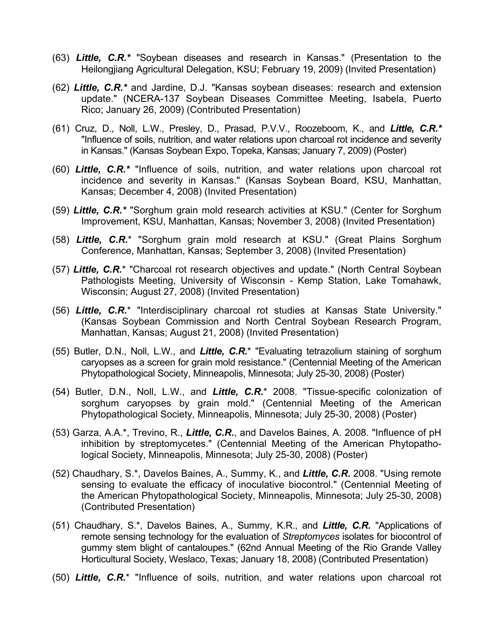- (63) *Little, C.R.\** "Soybean diseases and research in Kansas." (Presentation to the Heilongjiang Agricultural Delegation, KSU; February 19, 2009) (Invited Presentation)
- (62) *Little, C.R.\** and Jardine, D.J. "Kansas soybean diseases: research and extension update." (NCERA-137 Soybean Diseases Committee Meeting, Isabela, Puerto Rico; January 26, 2009) (Contributed Presentation)
- (61) Cruz, D., Noll, L.W., Presley, D., Prasad, P.V.V., Roozeboom, K., and *Little, C.R.\** "Influence of soils, nutrition, and water relations upon charcoal rot incidence and severity in Kansas." (Kansas Soybean Expo, Topeka, Kansas; January 7, 2009) (Poster)
- (60) *Little, C.R.\** "Influence of soils, nutrition, and water relations upon charcoal rot incidence and severity in Kansas." (Kansas Soybean Board, KSU, Manhattan, Kansas; December 4, 2008) (Invited Presentation)
- (59) *Little, C.R.\** "Sorghum grain mold research activities at KSU." (Center for Sorghum Improvement, KSU, Manhattan, Kansas; November 3, 2008) (Invited Presentation)
- (58) *Little, C.R.*\* "Sorghum grain mold research at KSU." (Great Plains Sorghum Conference, Manhattan, Kansas; September 3, 2008) (Invited Presentation)
- (57) *Little, C.R.*\* "Charcoal rot research objectives and update." (North Central Soybean Pathologists Meeting, University of Wisconsin - Kemp Station, Lake Tomahawk, Wisconsin; August 27, 2008) (Invited Presentation)
- (56) *Little, C.R.*\* "Interdisciplinary charcoal rot studies at Kansas State University." (Kansas Soybean Commission and North Central Soybean Research Program, Manhattan, Kansas; August 21, 2008) (Invited Presentation)
- (55) Butler, D.N., Noll, L.W., and *Little, C.R.*\* "Evaluating tetrazolium staining of sorghum caryopses as a screen for grain mold resistance." (Centennial Meeting of the American Phytopathological Society, Minneapolis, Minnesota; July 25-30, 2008) (Poster)
- (54) Butler, D.N., Noll, L.W., and *Little, C.R.*\* 2008. "Tissue-specific colonization of sorghum caryopses by grain mold." (Centennial Meeting of the American Phytopathological Society, Minneapolis, Minnesota; July 25-30, 2008) (Poster)
- (53) Garza, A.A.\*, Trevino, R., *Little, C.R.*, and Davelos Baines, A. 2008. "Influence of pH inhibition by streptomycetes." (Centennial Meeting of the American Phytopathological Society, Minneapolis, Minnesota; July 25-30, 2008) (Poster)
- (52) Chaudhary, S.\*, Davelos Baines, A., Summy, K., and *Little, C.R.* 2008. "Using remote sensing to evaluate the efficacy of inoculative biocontrol." (Centennial Meeting of the American Phytopathological Society, Minneapolis, Minnesota; July 25-30, 2008) (Contributed Presentation)
- (51) Chaudhary, S.\*, Davelos Baines, A., Summy, K.R., and *Little, C.R.* "Applications of remote sensing technology for the evaluation of *Streptomyces* isolates for biocontrol of gummy stem blight of cantaloupes." (62nd Annual Meeting of the Rio Grande Valley Horticultural Society, Weslaco, Texas; January 18, 2008) (Contributed Presentation)
- (50) *Little, C.R.*\* "Influence of soils, nutrition, and water relations upon charcoal rot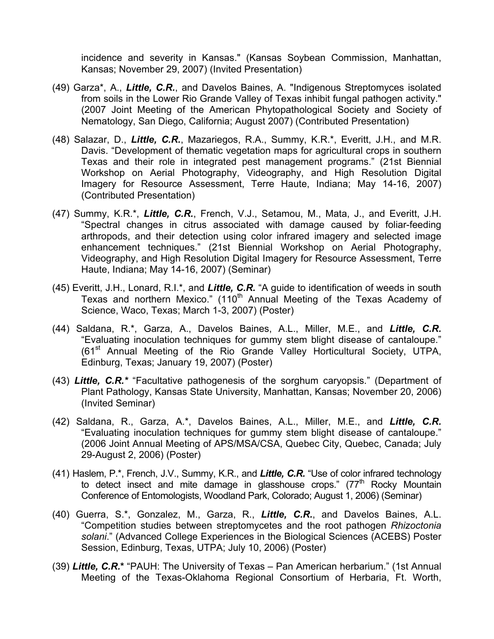incidence and severity in Kansas." (Kansas Soybean Commission, Manhattan, Kansas; November 29, 2007) (Invited Presentation)

- (49) Garza\*, A., *Little, C.R.*, and Davelos Baines, A. "Indigenous Streptomyces isolated from soils in the Lower Rio Grande Valley of Texas inhibit fungal pathogen activity." (2007 Joint Meeting of the American Phytopathological Society and Society of Nematology, San Diego, California; August 2007) (Contributed Presentation)
- (48) Salazar, D., *Little, C.R.*, Mazariegos, R.A., Summy, K.R.\*, Everitt, J.H., and M.R. Davis. "Development of thematic vegetation maps for agricultural crops in southern Texas and their role in integrated pest management programs." (21st Biennial Workshop on Aerial Photography, Videography, and High Resolution Digital Imagery for Resource Assessment, Terre Haute, Indiana; May 14-16, 2007) (Contributed Presentation)
- (47) Summy, K.R.\*, *Little, C.R.*, French, V.J., Setamou, M., Mata, J., and Everitt, J.H. "Spectral changes in citrus associated with damage caused by foliar-feeding arthropods, and their detection using color infrared imagery and selected image enhancement techniques." (21st Biennial Workshop on Aerial Photography, Videography, and High Resolution Digital Imagery for Resource Assessment, Terre Haute, Indiana; May 14-16, 2007) (Seminar)
- (45) Everitt, J.H., Lonard, R.I.\*, and *Little, C.R.* "A guide to identification of weeds in south Texas and northern Mexico." (110<sup>th</sup> Annual Meeting of the Texas Academy of Science, Waco, Texas; March 1-3, 2007) (Poster)
- (44) Saldana, R.\*, Garza, A., Davelos Baines, A.L., Miller, M.E., and *Little, C.R.* "Evaluating inoculation techniques for gummy stem blight disease of cantaloupe."  $(61<sup>st</sup>$  Annual Meeting of the Rio Grande Valley Horticultural Society, UTPA, Edinburg, Texas; January 19, 2007) (Poster)
- (43) *Little, C.R.\** "Facultative pathogenesis of the sorghum caryopsis." (Department of Plant Pathology, Kansas State University, Manhattan, Kansas; November 20, 2006) (Invited Seminar)
- (42) Saldana, R., Garza, A.\*, Davelos Baines, A.L., Miller, M.E., and *Little, C.R.* "Evaluating inoculation techniques for gummy stem blight disease of cantaloupe." (2006 Joint Annual Meeting of APS/MSA/CSA, Quebec City, Quebec, Canada; July 29-August 2, 2006) (Poster)
- (41) Haslem, P.\*, French, J.V., Summy, K.R., and *Little, C.R.* "Use of color infrared technology to detect insect and mite damage in glasshouse crops."  $(77<sup>th</sup>$  Rocky Mountain Conference of Entomologists, Woodland Park, Colorado; August 1, 2006) (Seminar)
- (40) Guerra, S.\*, Gonzalez, M., Garza, R., *Little, C.R.*, and Davelos Baines, A.L. "Competition studies between streptomycetes and the root pathogen *Rhizoctonia solani*." (Advanced College Experiences in the Biological Sciences (ACEBS) Poster Session, Edinburg, Texas, UTPA; July 10, 2006) (Poster)
- (39) *Little, C.R.***\*** "PAUH: The University of Texas Pan American herbarium." (1st Annual Meeting of the Texas-Oklahoma Regional Consortium of Herbaria, Ft. Worth,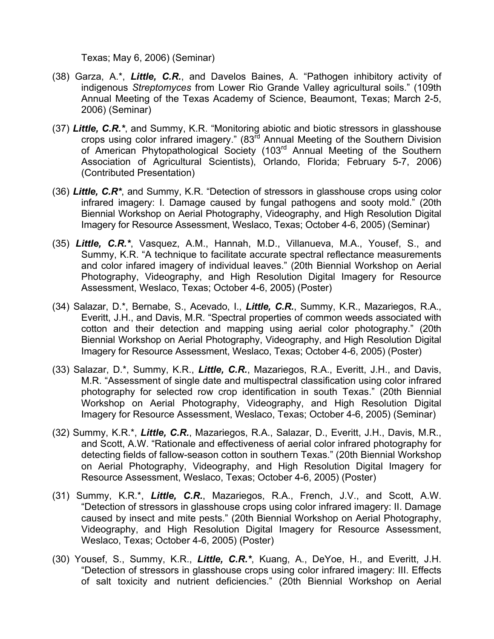Texas; May 6, 2006) (Seminar)

- (38) Garza, A.\*, *Little, C.R.*, and Davelos Baines, A. "Pathogen inhibitory activity of indigenous *Streptomyces* from Lower Rio Grande Valley agricultural soils." (109th Annual Meeting of the Texas Academy of Science, Beaumont, Texas; March 2-5, 2006) (Seminar)
- (37) *Little, C.R.\**, and Summy, K.R. "Monitoring abiotic and biotic stressors in glasshouse crops using color infrared imagery." (83rd Annual Meeting of the Southern Division of American Phytopathological Society (103<sup>rd</sup> Annual Meeting of the Southern Association of Agricultural Scientists), Orlando, Florida; February 5-7, 2006) (Contributed Presentation)
- (36) *Little, C.R\**, and Summy, K.R. "Detection of stressors in glasshouse crops using color infrared imagery: I. Damage caused by fungal pathogens and sooty mold." (20th Biennial Workshop on Aerial Photography, Videography, and High Resolution Digital Imagery for Resource Assessment, Weslaco, Texas; October 4-6, 2005) (Seminar)
- (35) *Little, C.R.\**, Vasquez, A.M., Hannah, M.D., Villanueva, M.A., Yousef, S., and Summy, K.R. "A technique to facilitate accurate spectral reflectance measurements and color infared imagery of individual leaves." (20th Biennial Workshop on Aerial Photography, Videography, and High Resolution Digital Imagery for Resource Assessment, Weslaco, Texas; October 4-6, 2005) (Poster)
- (34) Salazar, D.\*, Bernabe, S., Acevado, I., *Little, C.R.*, Summy, K.R., Mazariegos, R.A., Everitt, J.H., and Davis, M.R. "Spectral properties of common weeds associated with cotton and their detection and mapping using aerial color photography." (20th Biennial Workshop on Aerial Photography, Videography, and High Resolution Digital Imagery for Resource Assessment, Weslaco, Texas; October 4-6, 2005) (Poster)
- (33) Salazar, D.\*, Summy, K.R., *Little, C.R.*, Mazariegos, R.A., Everitt, J.H., and Davis, M.R. "Assessment of single date and multispectral classification using color infrared photography for selected row crop identification in south Texas." (20th Biennial Workshop on Aerial Photography, Videography, and High Resolution Digital Imagery for Resource Assessment, Weslaco, Texas; October 4-6, 2005) (Seminar)
- (32) Summy, K.R.\*, *Little, C.R.*, Mazariegos, R.A., Salazar, D., Everitt, J.H., Davis, M.R., and Scott, A.W. "Rationale and effectiveness of aerial color infrared photography for detecting fields of fallow-season cotton in southern Texas." (20th Biennial Workshop on Aerial Photography, Videography, and High Resolution Digital Imagery for Resource Assessment, Weslaco, Texas; October 4-6, 2005) (Poster)
- (31) Summy, K.R.\*, *Little, C.R.*, Mazariegos, R.A., French, J.V., and Scott, A.W. "Detection of stressors in glasshouse crops using color infrared imagery: II. Damage caused by insect and mite pests." (20th Biennial Workshop on Aerial Photography, Videography, and High Resolution Digital Imagery for Resource Assessment, Weslaco, Texas; October 4-6, 2005) (Poster)
- (30) Yousef, S., Summy, K.R., *Little, C.R.\**, Kuang, A., DeYoe, H., and Everitt, J.H. "Detection of stressors in glasshouse crops using color infrared imagery: III. Effects of salt toxicity and nutrient deficiencies." (20th Biennial Workshop on Aerial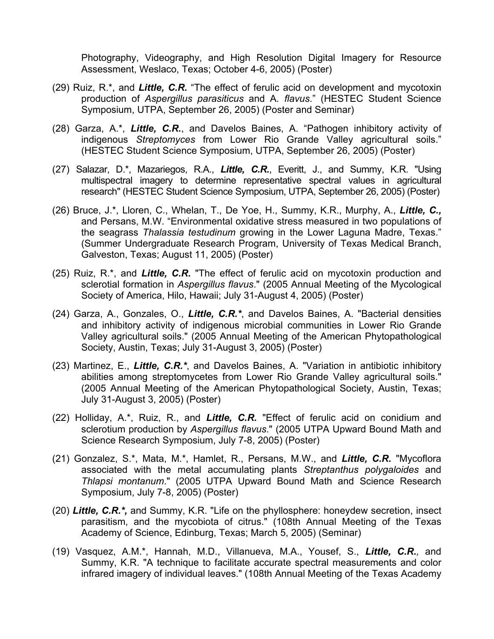Photography, Videography, and High Resolution Digital Imagery for Resource Assessment, Weslaco, Texas; October 4-6, 2005) (Poster)

- (29) Ruiz, R.\*, and *Little, C.R.* "The effect of ferulic acid on development and mycotoxin production of *Aspergillus parasiticus* and A*. flavus*." (HESTEC Student Science Symposium, UTPA, September 26, 2005) (Poster and Seminar)
- (28) Garza, A.\*, *Little, C.R.*, and Davelos Baines, A. "Pathogen inhibitory activity of indigenous *Streptomyces* from Lower Rio Grande Valley agricultural soils." (HESTEC Student Science Symposium, UTPA, September 26, 2005) (Poster)
- (27) Salazar, D.\*, Mazariegos, R.A., *Little, C.R.*, Everitt, J., and Summy, K.R. "Using multispectral imagery to determine representative spectral values in agricultural research" (HESTEC Student Science Symposium, UTPA, September 26, 2005) (Poster)
- (26) Bruce, J.\*, Lloren, C., Whelan, T., De Yoe, H., Summy, K.R., Murphy, A., *Little, C.,* and Persans, M.W. "Environmental oxidative stress measured in two populations of the seagrass *Thalassia testudinum* growing in the Lower Laguna Madre, Texas." (Summer Undergraduate Research Program, University of Texas Medical Branch, Galveston, Texas; August 11, 2005) (Poster)
- (25) Ruiz, R.\*, and *Little, C.R.* "The effect of ferulic acid on mycotoxin production and sclerotial formation in *Aspergillus flavus*." (2005 Annual Meeting of the Mycological Society of America, Hilo, Hawaii; July 31-August 4, 2005) (Poster)
- (24) Garza, A., Gonzales, O., *Little, C.R.\**, and Davelos Baines, A. "Bacterial densities and inhibitory activity of indigenous microbial communities in Lower Rio Grande Valley agricultural soils." (2005 Annual Meeting of the American Phytopathological Society, Austin, Texas; July 31-August 3, 2005) (Poster)
- (23) Martinez, E., *Little, C.R.\**, and Davelos Baines, A. "Variation in antibiotic inhibitory abilities among streptomycetes from Lower Rio Grande Valley agricultural soils." (2005 Annual Meeting of the American Phytopathological Society, Austin, Texas; July 31-August 3, 2005) (Poster)
- (22) Holliday, A.\*, Ruiz, R., and *Little, C.R.* "Effect of ferulic acid on conidium and sclerotium production by *Aspergillus flavus*." (2005 UTPA Upward Bound Math and Science Research Symposium, July 7-8, 2005) (Poster)
- (21) Gonzalez, S.\*, Mata, M.\*, Hamlet, R., Persans, M.W., and *Little, C.R.* "Mycoflora associated with the metal accumulating plants *Streptanthus polygaloides* and *Thlapsi montanum*." (2005 UTPA Upward Bound Math and Science Research Symposium, July 7-8, 2005) (Poster)
- (20) *Little, C.R.\*,* and Summy, K.R. "Life on the phyllosphere: honeydew secretion, insect parasitism, and the mycobiota of citrus." (108th Annual Meeting of the Texas Academy of Science, Edinburg, Texas; March 5, 2005) (Seminar)
- (19) Vasquez, A.M.\*, Hannah, M.D., Villanueva, M.A., Yousef, S., *Little, C.R.,* and Summy, K.R. "A technique to facilitate accurate spectral measurements and color infrared imagery of individual leaves." (108th Annual Meeting of the Texas Academy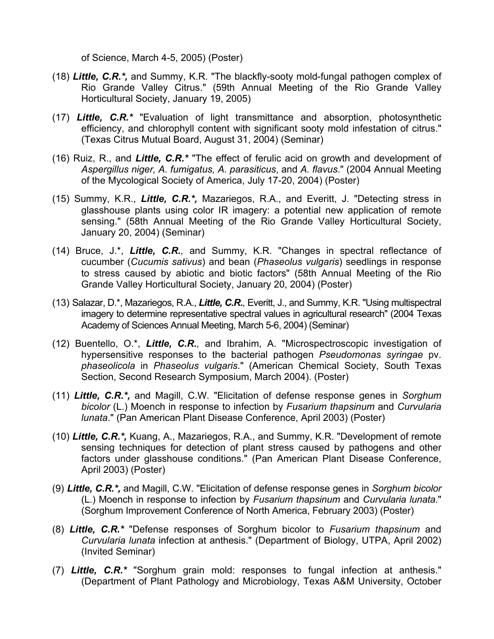of Science, March 4-5, 2005) (Poster)

- (18) *Little, C.R.\*,* and Summy, K.R. "The blackfly-sooty mold-fungal pathogen complex of Rio Grande Valley Citrus." (59th Annual Meeting of the Rio Grande Valley Horticultural Society, January 19, 2005)
- (17) *Little, C.R.\** "Evaluation of light transmittance and absorption, photosynthetic efficiency, and chlorophyll content with significant sooty mold infestation of citrus." (Texas Citrus Mutual Board, August 31, 2004) (Seminar)
- (16) Ruiz, R., and *Little, C.R.\** "The effect of ferulic acid on growth and development of *Aspergillus niger, A. fumigatus, A. parasiticus*, and *A. flavus*." (2004 Annual Meeting of the Mycological Society of America, July 17-20, 2004) (Poster)
- (15) Summy, K.R., *Little, C.R.\*,* Mazariegos, R.A., and Everitt, J. "Detecting stress in glasshouse plants using color IR imagery: a potential new application of remote sensing." (58th Annual Meeting of the Rio Grande Valley Horticultural Society, January 20, 2004) (Seminar)
- (14) Bruce, J.\*, *Little, C.R.,* and Summy, K.R. "Changes in spectral reflectance of cucumber (*Cucumis sativus*) and bean (*Phaseolus vulgaris*) seedlings in response to stress caused by abiotic and biotic factors" (58th Annual Meeting of the Rio Grande Valley Horticultural Society, January 20, 2004) (Poster)
- (13) Salazar, D.\*, Mazariegos, R.A., *Little, C.R.,* Everitt, J., and Summy, K.R. "Using multispectral imagery to determine representative spectral values in agricultural research" (2004 Texas Academy of Sciences Annual Meeting, March 5-6, 2004) (Seminar)
- (12) Buentello, O.\*, *Little, C.R.,* and Ibrahim, A. "Microspectroscopic investigation of hypersensitive responses to the bacterial pathogen *Pseudomonas syringae* pv. *phaseolicola* in *Phaseolus vulgaris*." (American Chemical Society, South Texas Section, Second Research Symposium, March 2004). (Poster)
- (11) *Little, C.R.\*,* and Magill, C.W. "Elicitation of defense response genes in *Sorghum bicolor* (L.) Moench in response to infection by *Fusarium thapsinum* and *Curvularia lunata*." (Pan American Plant Disease Conference, April 2003) (Poster)
- (10) *Little, C.R.\*,* Kuang, A., Mazariegos, R.A., and Summy, K.R. "Development of remote sensing techniques for detection of plant stress caused by pathogens and other factors under glasshouse conditions." (Pan American Plant Disease Conference, April 2003) (Poster)
- (9) *Little, C.R.\*,* and Magill, C.W. "Elicitation of defense response genes in *Sorghum bicolor* (L.) Moench in response to infection by *Fusarium thapsinum* and *Curvularia lunata*." (Sorghum Improvement Conference of North America, February 2003) (Poster)
- (8) *Little, C.R.\** "Defense responses of Sorghum bicolor to *Fusarium thapsinum* and *Curvularia lunata* infection at anthesis." (Department of Biology, UTPA, April 2002) (Invited Seminar)
- (7) *Little, C.R.\** "Sorghum grain mold: responses to fungal infection at anthesis." (Department of Plant Pathology and Microbiology, Texas A&M University, October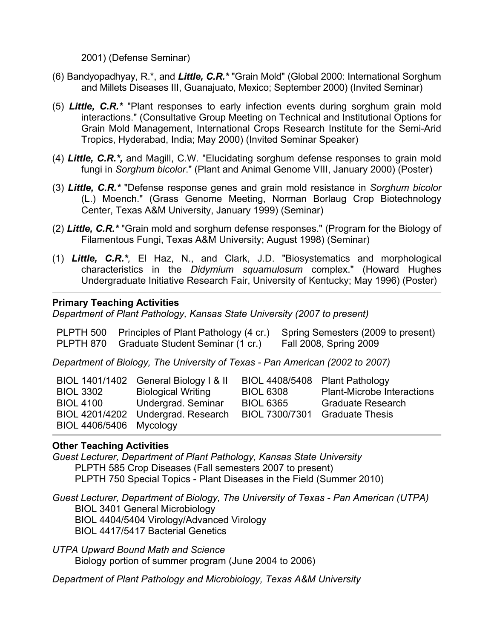2001) (Defense Seminar)

- (6) Bandyopadhyay, R.\*, and *Little, C.R.\** "Grain Mold" (Global 2000: International Sorghum and Millets Diseases III, Guanajuato, Mexico; September 2000) (Invited Seminar)
- (5) *Little, C.R.\** "Plant responses to early infection events during sorghum grain mold interactions." (Consultative Group Meeting on Technical and Institutional Options for Grain Mold Management, International Crops Research Institute for the Semi-Arid Tropics, Hyderabad, India; May 2000) (Invited Seminar Speaker)
- (4) *Little, C.R.\*,* and Magill, C.W. "Elucidating sorghum defense responses to grain mold fungi in *Sorghum bicolor*." (Plant and Animal Genome VIII, January 2000) (Poster)
- (3) *Little, C.R.\** "Defense response genes and grain mold resistance in *Sorghum bicolor*  (L.) Moench." (Grass Genome Meeting, Norman Borlaug Crop Biotechnology Center, Texas A&M University, January 1999) (Seminar)
- (2) *Little, C.R.\** "Grain mold and sorghum defense responses." (Program for the Biology of Filamentous Fungi, Texas A&M University; August 1998) (Seminar)
- (1) *Little, C.R.\*,* El Haz, N., and Clark, J.D. "Biosystematics and morphological characteristics in the *Didymium squamulosum* complex." (Howard Hughes Undergraduate Initiative Research Fair, University of Kentucky; May 1996) (Poster)

## **Primary Teaching Activities**

*Department of Plant Pathology, Kansas State University (2007 to present)*

| PLPTH 500 Principles of Plant Pathology (4 cr.) Spring Semesters (2009 to present) |                        |
|------------------------------------------------------------------------------------|------------------------|
| PLPTH 870 Graduate Student Seminar (1 cr.)                                         | Fall 2008, Spring 2009 |

*Department of Biology, The University of Texas - Pan American (2002 to 2007)*

|                         | BIOL 1401/1402 General Biology   & II | BIOL 4408/5408 Plant Pathology |                                   |
|-------------------------|---------------------------------------|--------------------------------|-----------------------------------|
| <b>BIOL 3302</b>        | <b>Biological Writing</b>             | <b>BIOL 6308</b>               | <b>Plant-Microbe Interactions</b> |
| <b>BIOL 4100</b>        | Undergrad. Seminar                    | <b>BIOL 6365</b>               | <b>Graduate Research</b>          |
|                         | BIOL 4201/4202 Undergrad. Research    | BIOL 7300/7301 Graduate Thesis |                                   |
| BIOL 4406/5406 Mycology |                                       |                                |                                   |

## **Other Teaching Activities**

*Guest Lecturer, Department of Plant Pathology, Kansas State University* PLPTH 585 Crop Diseases (Fall semesters 2007 to present) PLPTH 750 Special Topics - Plant Diseases in the Field (Summer 2010)

*Guest Lecturer, Department of Biology, The University of Texas - Pan American (UTPA)* BIOL 3401 General Microbiology BIOL 4404/5404 Virology/Advanced Virology BIOL 4417/5417 Bacterial Genetics

*UTPA Upward Bound Math and Science* Biology portion of summer program (June 2004 to 2006)

*Department of Plant Pathology and Microbiology, Texas A&M University*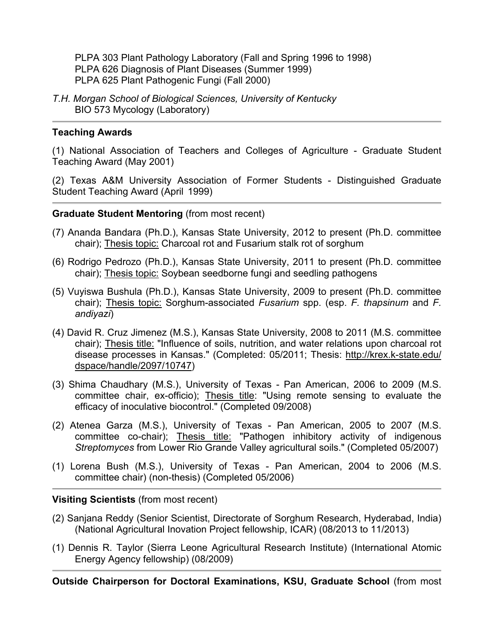PLPA 303 Plant Pathology Laboratory (Fall and Spring 1996 to 1998) PLPA 626 Diagnosis of Plant Diseases (Summer 1999) PLPA 625 Plant Pathogenic Fungi (Fall 2000)

*T.H. Morgan School of Biological Sciences, University of Kentucky*  BIO 573 Mycology (Laboratory)

## **Teaching Awards**

(1) National Association of Teachers and Colleges of Agriculture - Graduate Student Teaching Award (May 2001)

(2) Texas A&M University Association of Former Students - Distinguished Graduate Student Teaching Award (April 1999)

#### **Graduate Student Mentoring** (from most recent)

- (7) Ananda Bandara (Ph.D.), Kansas State University, 2012 to present (Ph.D. committee chair); Thesis topic: Charcoal rot and Fusarium stalk rot of sorghum
- (6) Rodrigo Pedrozo (Ph.D.), Kansas State University, 2011 to present (Ph.D. committee chair); Thesis topic: Soybean seedborne fungi and seedling pathogens
- (5) Vuyiswa Bushula (Ph.D.), Kansas State University, 2009 to present (Ph.D. committee chair); Thesis topic: Sorghum-associated *Fusarium* spp. (esp. *F. thapsinum* and *F. andiyazi*)
- (4) David R. Cruz Jimenez (M.S.), Kansas State University, 2008 to 2011 (M.S. committee chair); Thesis title: "Influence of soils, nutrition, and water relations upon charcoal rot disease processes in Kansas." (Completed: 05/2011; Thesis: http://krex.k-state.edu/ dspace/handle/2097/10747)
- (3) Shima Chaudhary (M.S.), University of Texas Pan American, 2006 to 2009 (M.S. committee chair, ex-officio); Thesis title: "Using remote sensing to evaluate the efficacy of inoculative biocontrol." (Completed 09/2008)
- (2) Atenea Garza (M.S.), University of Texas Pan American, 2005 to 2007 (M.S. committee co-chair); Thesis title: "Pathogen inhibitory activity of indigenous *Streptomyces* from Lower Rio Grande Valley agricultural soils." (Completed 05/2007)
- (1) Lorena Bush (M.S.), University of Texas Pan American, 2004 to 2006 (M.S. committee chair) (non-thesis) (Completed 05/2006)

#### **Visiting Scientists** (from most recent)

- (2) Sanjana Reddy (Senior Scientist, Directorate of Sorghum Research, Hyderabad, India) (National Agricultural Inovation Project fellowship, ICAR) (08/2013 to 11/2013)
- (1) Dennis R. Taylor (Sierra Leone Agricultural Research Institute) (International Atomic Energy Agency fellowship) (08/2009)

**Outside Chairperson for Doctoral Examinations, KSU, Graduate School** (from most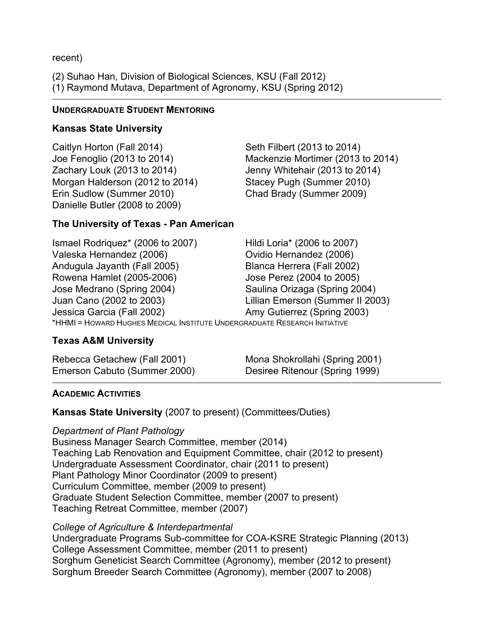recent)

(2) Suhao Han, Division of Biological Sciences, KSU (Fall 2012) (1) Raymond Mutava, Department of Agronomy, KSU (Spring 2012)

## **UNDERGRADUATE STUDENT MENTORING**

# **Kansas State University**

Caitlyn Horton (Fall 2014) Seth Filbert (2013 to 2014) Zachary Louk (2013 to 2014) Jenny Whitehair (2013 to 2014) Morgan Halderson (2012 to 2014) Stacey Pugh (Summer 2010) Erin Sudlow (Summer 2010) Chad Brady (Summer 2009) Danielle Butler (2008 to 2009)

# **The University of Texas - Pan American**

Joe Fenoglio (2013 to 2014) Mackenzie Mortimer (2013 to 2014)

Ismael Rodriquez\* (2006 to 2007) Hildi Loria\* (2006 to 2007) Valeska Hernandez (2006) Ovidio Hernandez (2006) Andugula Jayanth (Fall 2005) Blanca Herrera (Fall 2002) Rowena Hamlet (2005-2006) Jose Perez (2004 to 2005) Jose Medrano (Spring 2004) Saulina Orizaga (Spring 2004) Juan Cano (2002 to 2003) Lillian Emerson (Summer II 2003) Jessica Garcia (Fall 2002) Amy Gutierrez (Spring 2003) \*HHMI = HOWARD HUGHES MEDICAL INSTITUTE UNDERGRADUATE RESEARCH INITIATIVE

# **Texas A&M University**

Rebecca Getachew (Fall 2001) Mona Shokrollahi (Spring 2001) Emerson Cabuto (Summer 2000) Desiree Ritenour (Spring 1999)

# **ACADEMIC ACTIVITIES**

**Kansas State University** (2007 to present) (Committees/Duties)

# *Department of Plant Pathology*

Business Manager Search Committee, member (2014) Teaching Lab Renovation and Equipment Committee, chair (2012 to present) Undergraduate Assessment Coordinator, chair (2011 to present) Plant Pathology Minor Coordinator (2009 to present) Curriculum Committee, member (2009 to present) Graduate Student Selection Committee, member (2007 to present) Teaching Retreat Committee, member (2007)

## *College of Agriculture & Interdepartmental*

Undergraduate Programs Sub-committee for COA-KSRE Strategic Planning (2013) College Assessment Committee, member (2011 to present) Sorghum Geneticist Search Committee (Agronomy), member (2012 to present) Sorghum Breeder Search Committee (Agronomy), member (2007 to 2008)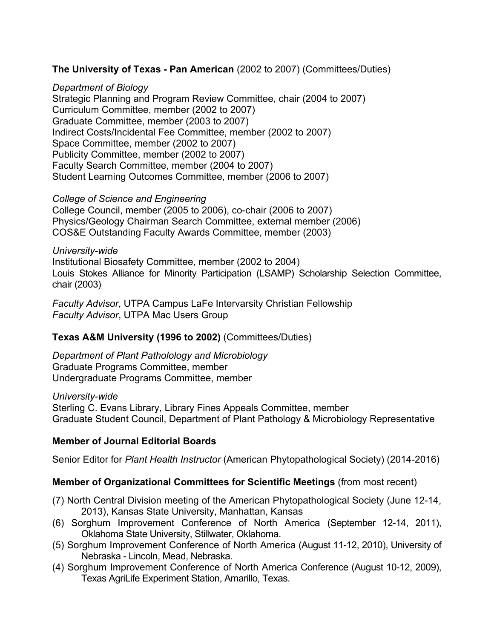# **The University of Texas - Pan American** (2002 to 2007) (Committees/Duties)

### *Department of Biology*

Strategic Planning and Program Review Committee, chair (2004 to 2007) Curriculum Committee, member (2002 to 2007) Graduate Committee, member (2003 to 2007) Indirect Costs/Incidental Fee Committee, member (2002 to 2007) Space Committee, member (2002 to 2007) Publicity Committee, member (2002 to 2007) Faculty Search Committee, member (2004 to 2007) Student Learning Outcomes Committee, member (2006 to 2007)

### *College of Science and Engineering*

College Council, member (2005 to 2006), co-chair (2006 to 2007) Physics/Geology Chairman Search Committee, external member (2006) COS&E Outstanding Faculty Awards Committee, member (2003)

### *University-wide*

Institutional Biosafety Committee, member (2002 to 2004) Louis Stokes Alliance for Minority Participation (LSAMP) Scholarship Selection Committee, chair (2003)

*Faculty Advisor*, UTPA Campus LaFe Intervarsity Christian Fellowship *Faculty Advisor*, UTPA Mac Users Group

## **Texas A&M University (1996 to 2002)** (Committees/Duties)

*Department of Plant Patholology and Microbiology*  Graduate Programs Committee, member Undergraduate Programs Committee, member

*University-wide*

Sterling C. Evans Library, Library Fines Appeals Committee, member Graduate Student Council, Department of Plant Pathology & Microbiology Representative

## **Member of Journal Editorial Boards**

Senior Editor for *Plant Health Instructor* (American Phytopathological Society) (2014-2016)

# **Member of Organizational Committees for Scientific Meetings** (from most recent)

- (7) North Central Division meeting of the American Phytopathological Society (June 12-14, 2013), Kansas State University, Manhattan, Kansas
- (6) Sorghum Improvement Conference of North America (September 12-14, 2011), Oklahoma State University, Stillwater, Oklahoma.
- (5) Sorghum Improvement Conference of North America (August 11-12, 2010), University of Nebraska - Lincoln, Mead, Nebraska.
- (4) Sorghum Improvement Conference of North America Conference (August 10-12, 2009), Texas AgriLife Experiment Station, Amarillo, Texas.